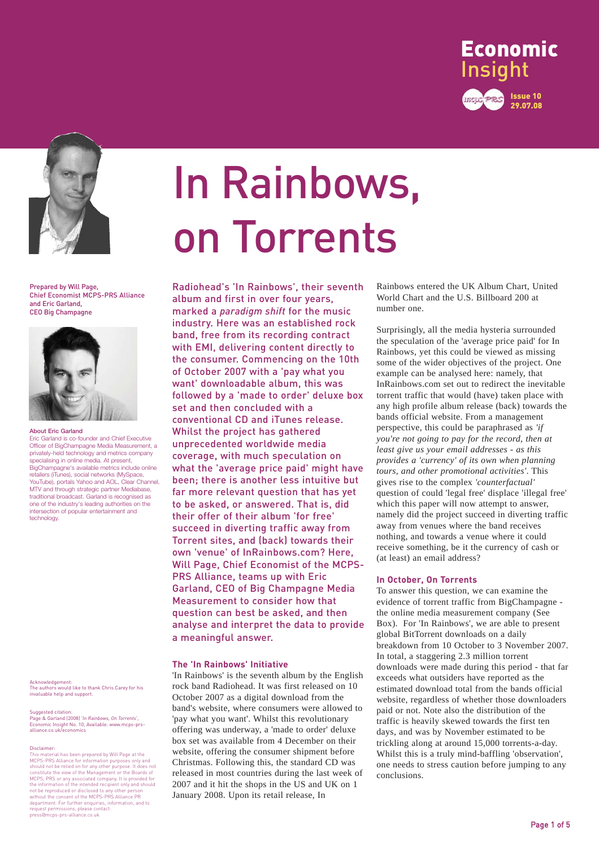



Prepared by Will Page, Chief Economist MCPS-PRS Alliance and Eric Garland, CEO Big Champagne



#### **About Eric Garland**

Eric Garland is co-founder and Chief Executive Officer of BigChampagne Media Measurement, a privately-held technology and metrics company specialising in online media. At present, BigChampagne's available metrics include online retailers (iTunes), social networks (MySpace, YouTube), portals Yahoo and AOL, Clear Channel, MTV and through strategic partner Mediabase, traditional broadcast. Garland is recognised as one of the industry's leading authorities on the intersection of popular entertainment and technology.

Acknowledgement: The authors would like to thank Chris Carey for his invaluable help and support.

Suggested citation: Page & Garland (2008) '*In Rainbows, On Torrents*', Economic Insight No. 10, Available: www.mcps-prs-alliance.co.uk/economics

#### Disclaimer:

This material has been prepared by Will Page at the MCPS-PRS Alliance for information purposes only and<br>should not be relied on for any other purpose. It does not<br>constitute the view of the Management or the Boards of<br>MCPS, PRS or any associated company. It is provided for<br> department. For further enquiries, information, and to request permissions, please contact: press@mcps-prs-alliance.co.uk

# In Rainbows, on Torrents

Radiohead's 'In Rainbows', their seventh album and first in over four years, marked a *paradigm shift* for the music industry. Here was an established rock band, free from its recording contract with EMI, delivering content directly to the consumer. Commencing on the 10th of October 2007 with a 'pay what you want' downloadable album, this was followed by a 'made to order' deluxe box set and then concluded with a conventional CD and iTunes release. Whilst the project has gathered unprecedented worldwide media coverage, with much speculation on what the 'average price paid' might have been; there is another less intuitive but far more relevant question that has yet to be asked, or answered. That is, did their offer of their album 'for free' succeed in diverting traffic away from Torrent sites, and (back) towards their own 'venue' of InRainbows.com? Here, Will Page, Chief Economist of the MCPS-PRS Alliance, teams up with Eric Garland, CEO of Big Champagne Media Measurement to consider how that question can best be asked, and then analyse and interpret the data to provide a meaningful answer.

#### **The 'In Rainbows' Initiative**

'In Rainbows' is the seventh album by the English rock band Radiohead. It was first released on 10 October 2007 as a digital download from the band's website, where consumers were allowed to 'pay what you want'. Whilst this revolutionary offering was underway, a 'made to order' deluxe box set was available from 4 December on their website, offering the consumer shipment before Christmas. Following this, the standard CD was released in most countries during the last week of 2007 and it hit the shops in the US and UK on 1 January 2008. Upon its retail release, In

Rainbows entered the UK Album Chart, United World Chart and the U.S. Billboard 200 at number one.

Surprisingly, all the media hysteria surrounded the speculation of the 'average price paid' for In Rainbows, yet this could be viewed as missing some of the wider objectives of the project. One example can be analysed here: namely, that InRainbows.com set out to redirect the inevitable torrent traffic that would (have) taken place with any high profile album release (back) towards the bands official website. From a management perspective, this could be paraphrased as *'if you're not going to pay for the record, then at least give us your email addresses - as this provides a 'currency' of its own when planning tours, and other promotional activities'*. This gives rise to the complex *'counterfactual'* question of could 'legal free' displace 'illegal free' which this paper will now attempt to answer, namely did the project succeed in diverting traffic away from venues where the band receives nothing, and towards a venue where it could receive something, be it the currency of cash or (at least) an email address?

### **In October, On Torrents**

To answer this question, we can examine the evidence of torrent traffic from BigChampagne the online media measurement company (See Box). For 'In Rainbows', we are able to present global BitTorrent downloads on a daily breakdown from 10 October to 3 November 2007. In total, a staggering 2.3 million torrent downloads were made during this period - that far exceeds what outsiders have reported as the estimated download total from the bands official website, regardless of whether those downloaders paid or not. Note also the distribution of the traffic is heavily skewed towards the first ten days, and was by November estimated to be trickling along at around 15,000 torrents-a-day. Whilst this is a truly mind-baffling 'observation', one needs to stress caution before jumping to any conclusions.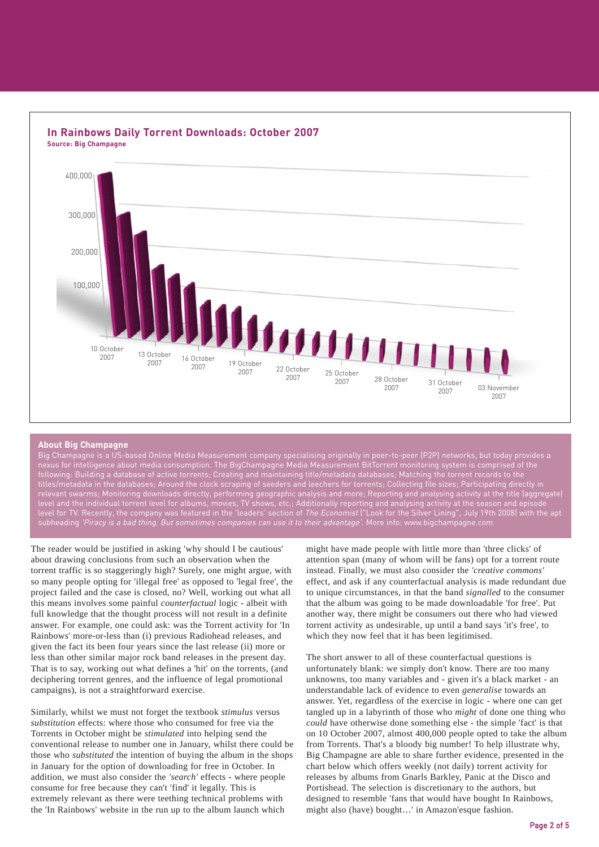

## **In Rainbows Daily Torrent Downloads: October 2007**

#### **About Big Champagne**

Big Champagne is a US-based Online Media Measurement company specialising originally in peer-to-peer (P2P) networks, but today provides a nexus for intelligence about media consumption. The BigChampagne Media Measurement BitTorrent monitoring system is comprised of the following: Building a database of active torrents; Creating and maintaining title/metadata databases; Matching the torrent records to the titles/metadata in the databases; Around the clock scraping of seeders and leechers for torrents; Collecting file sizes; Participating directly in relevant swarms; Monitoring downloads directly, performing geographic analysis and more; Reporting and analysing activity at the title (aggregate) level and the individual torrent level for albums, movies, TV shows, etc.; Additionally reporting and analysing activity at the season and episode level for TV. Recently, the company was featured in the 'leaders' section of *The Economist* ("Look for the Silver Lining", July 19th 2008) with the apt subheading 'Piracy is a bad thing. But sometimes companies can use it to their advantage'. More info: www.bigchampagne.com

The reader would be justified in asking 'why should I be cautious' about drawing conclusions from such an observation when the torrent traffic is so staggeringly high? Surely, one might argue, with so many people opting for 'illegal free' as opposed to 'legal free', the project failed and the case is closed, no? Well, working out what all this means involves some painful *counterfactual* logic - albeit with full knowledge that the thought process will not result in a definite answer. For example, one could ask: was the Torrent activity for 'In Rainbows' more-or-less than (i) previous Radiohead releases, and given the fact its been four years since the last release (ii) more or less than other similar major rock band releases in the present day. That is to say, working out what defines a 'hit' on the torrents, (and deciphering torrent genres, and the influence of legal promotional campaigns), is not a straightforward exercise.

Similarly, whilst we must not forget the textbook *stimulus* versus *substitution* effects: where those who consumed for free via the Torrents in October might be *stimulated* into helping send the conventional release to number one in January, whilst there could be those who *substituted* the intention of buying the album in the shops in January for the option of downloading for free in October. In addition, we must also consider the *'search'* effects - where people consume for free because they can't 'find' it legally. This is extremely relevant as there were teething technical problems with the 'In Rainbows' website in the run up to the album launch which

might have made people with little more than 'three clicks' of attention span (many of whom will be fans) opt for a torrent route instead. Finally, we must also consider the *'creative commons'* effect, and ask if any counterfactual analysis is made redundant due to unique circumstances, in that the band *signalled* to the consumer that the album was going to be made downloadable 'for free'. Put another way, there might be consumers out there who had viewed torrent activity as undesirable, up until a band says 'it's free', to which they now feel that it has been legitimised.

The short answer to all of these counterfactual questions is unfortunately blank: we simply don't know. There are too many unknowns, too many variables and - given it's a black market - an understandable lack of evidence to even *generalise* towards an answer. Yet, regardless of the exercise in logic - where one can get tangled up in a labyrinth of those who *might* of done one thing who *could* have otherwise done something else - the simple 'fact' is that on 10 October 2007, almost 400,000 people opted to take the album from Torrents. That's a bloody big number! To help illustrate why, Big Champagne are able to share further evidence, presented in the chart below which offers weekly (not daily) torrent activity for releases by albums from Gnarls Barkley, Panic at the Disco and Portishead. The selection is discretionary to the authors, but designed to resemble 'fans that would have bought In Rainbows, might also (have) bought…' in Amazon'esque fashion.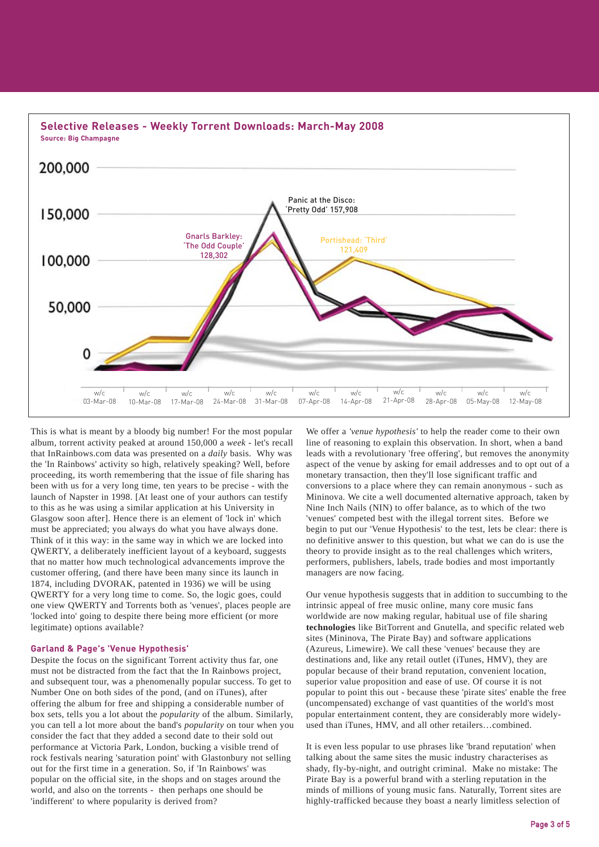

This is what is meant by a bloody big number! For the most popular album, torrent activity peaked at around 150,000 a *week* - let's recall that InRainbows.com data was presented on a *daily* basis. Why was the 'In Rainbows' activity so high, relatively speaking? Well, before proceeding, its worth remembering that the issue of file sharing has been with us for a very long time, ten years to be precise - with the launch of Napster in 1998. [At least one of your authors can testify to this as he was using a similar application at his University in Glasgow soon after]. Hence there is an element of 'lock in' which must be appreciated; you always do what you have always done. Think of it this way: in the same way in which we are locked into QWERTY, a deliberately inefficient layout of a keyboard, suggests that no matter how much technological advancements improve the customer offering, (and there have been many since its launch in 1874, including DVORAK, patented in 1936) we will be using QWERTY for a very long time to come. So, the logic goes, could one view QWERTY and Torrents both as 'venues', places people are 'locked into' going to despite there being more efficient (or more legitimate) options available?

#### **Garland & Page's 'Venue Hypothesis'**

Despite the focus on the significant Torrent activity thus far, one must not be distracted from the fact that the In Rainbows project, and subsequent tour, was a phenomenally popular success. To get to Number One on both sides of the pond, (and on iTunes), after offering the album for free and shipping a considerable number of box sets, tells you a lot about the *popularity* of the album. Similarly, you can tell a lot more about the band's *popularity* on tour when you consider the fact that they added a second date to their sold out performance at Victoria Park, London, bucking a visible trend of rock festivals nearing 'saturation point' with Glastonbury not selling out for the first time in a generation. So, if 'In Rainbows' was popular on the official site, in the shops and on stages around the world, and also on the torrents - then perhaps one should be 'indifferent' to where popularity is derived from?

We offer a *'venue hypothesis'* to help the reader come to their own line of reasoning to explain this observation. In short, when a band leads with a revolutionary 'free offering', but removes the anonymity aspect of the venue by asking for email addresses and to opt out of a monetary transaction, then they'll lose significant traffic and conversions to a place where they can remain anonymous - such as Mininova. We cite a well documented alternative approach, taken by Nine Inch Nails (NIN) to offer balance, as to which of the two 'venues' competed best with the illegal torrent sites. Before we begin to put our 'Venue Hypothesis' to the test, lets be clear: there is no definitive answer to this question, but what we can do is use the theory to provide insight as to the real challenges which writers, performers, publishers, labels, trade bodies and most importantly managers are now facing.

Our venue hypothesis suggests that in addition to succumbing to the intrinsic appeal of free music online, many core music fans worldwide are now making regular, habitual use of file sharing **technologies** like BitTorrent and Gnutella, and specific related web sites (Mininova, The Pirate Bay) and software applications (Azureus, Limewire). We call these 'venues' because they are destinations and, like any retail outlet (iTunes, HMV), they are popular because of their brand reputation, convenient location, superior value proposition and ease of use. Of course it is not popular to point this out - because these 'pirate sites' enable the free (uncompensated) exchange of vast quantities of the world's most popular entertainment content, they are considerably more widelyused than iTunes, HMV, and all other retailers…combined.

It is even less popular to use phrases like 'brand reputation' when talking about the same sites the music industry characterises as shady, fly-by-night, and outright criminal. Make no mistake: The Pirate Bay is a powerful brand with a sterling reputation in the minds of millions of young music fans. Naturally, Torrent sites are highly-trafficked because they boast a nearly limitless selection of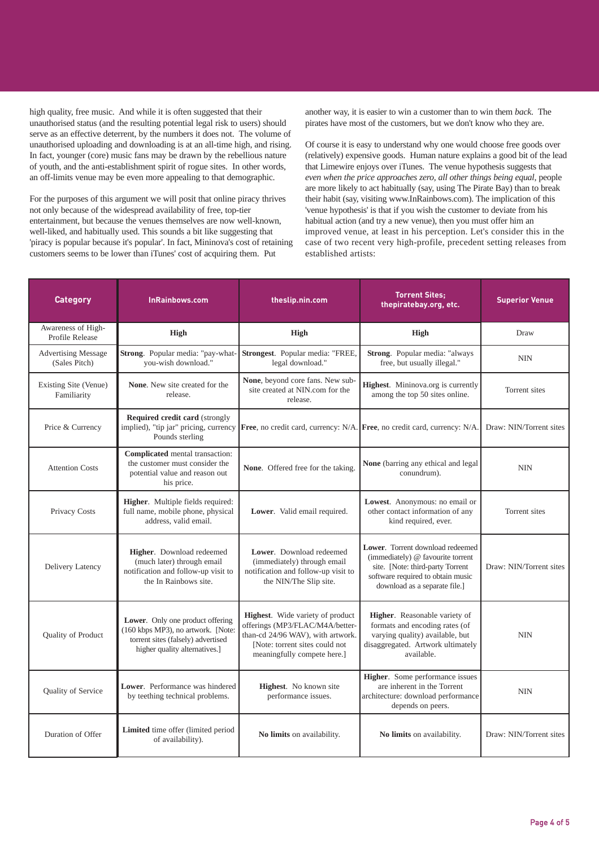high quality, free music. And while it is often suggested that their unauthorised status (and the resulting potential legal risk to users) should serve as an effective deterrent, by the numbers it does not. The volume of unauthorised uploading and downloading is at an all-time high, and rising. In fact, younger (core) music fans may be drawn by the rebellious nature of youth, and the anti-establishment spirit of rogue sites. In other words, an off-limits venue may be even more appealing to that demographic.

For the purposes of this argument we will posit that online piracy thrives not only because of the widespread availability of free, top-tier entertainment, but because the venues themselves are now well-known, well-liked, and habitually used. This sounds a bit like suggesting that 'piracy is popular because it's popular'. In fact, Mininova's cost of retaining customers seems to be lower than iTunes' cost of acquiring them. Put

another way, it is easier to win a customer than to win them *back*. The pirates have most of the customers, but we don't know who they are.

Of course it is easy to understand why one would choose free goods over (relatively) expensive goods. Human nature explains a good bit of the lead that Limewire enjoys over iTunes. The venue hypothesis suggests that *even when the price approaches zero, all other things being equal*, people are more likely to act habitually (say, using The Pirate Bay) than to break their habit (say, visiting www.InRainbows.com). The implication of this 'venue hypothesis' is that if you wish the customer to deviate from his habitual action (and try a new venue), then you must offer him an improved venue, at least in his perception. Let's consider this in the case of two recent very high-profile, precedent setting releases from established artists:

| <b>Category</b>                             | <b>InRainbows.com</b>                                                                                                                         | theslip.nin.com                                                                                                                                                           | <b>Torrent Sites:</b><br>thepiratebay.org, etc.                                                                                                                                 | <b>Superior Venue</b>   |
|---------------------------------------------|-----------------------------------------------------------------------------------------------------------------------------------------------|---------------------------------------------------------------------------------------------------------------------------------------------------------------------------|---------------------------------------------------------------------------------------------------------------------------------------------------------------------------------|-------------------------|
| Awareness of High-<br>Profile Release       | <b>High</b>                                                                                                                                   | <b>High</b>                                                                                                                                                               | <b>High</b>                                                                                                                                                                     | Draw                    |
| <b>Advertising Message</b><br>(Sales Pitch) | Strong. Popular media: "pay-what-<br>you-wish download."                                                                                      | Strongest. Popular media: "FREE,<br>legal download."                                                                                                                      | Strong. Popular media: "always<br>free, but usually illegal."                                                                                                                   | <b>NIN</b>              |
| Existing Site (Venue)<br>Familiarity        | <b>None.</b> New site created for the<br>release.                                                                                             | None, beyond core fans. New sub-<br>site created at NIN.com for the<br>release.                                                                                           | Highest. Mininova.org is currently<br>among the top 50 sites online.                                                                                                            | Torrent sites           |
| Price & Currency                            | <b>Required credit card (strongly</b><br>implied), "tip jar" pricing, currency<br>Pounds sterling                                             |                                                                                                                                                                           | Free, no credit card, currency: N/A. Free, no credit card, currency: N/A.                                                                                                       | Draw: NIN/Torrent sites |
| <b>Attention Costs</b>                      | Complicated mental transaction:<br>the customer must consider the<br>potential value and reason out<br>his price.                             | None. Offered free for the taking.                                                                                                                                        | None (barring any ethical and legal<br>conundrum).                                                                                                                              | <b>NIN</b>              |
| Privacy Costs                               | Higher. Multiple fields required:<br>full name, mobile phone, physical<br>address, valid email.                                               | Lower. Valid email required.                                                                                                                                              | Lowest. Anonymous: no email or<br>other contact information of any<br>kind required, ever.                                                                                      | Torrent sites           |
| Delivery Latency                            | Higher. Download redeemed<br>(much later) through email<br>notification and follow-up visit to<br>the In Rainbows site.                       | Lower. Download redeemed<br>(immediately) through email<br>notification and follow-up visit to<br>the NIN/The Slip site.                                                  | Lower. Torrent download redeemed<br>(immediately) @ favourite torrent<br>site. [Note: third-party Torrent<br>software required to obtain music<br>download as a separate file.] | Draw: NIN/Torrent sites |
| Quality of Product                          | Lower. Only one product offering<br>(160 kbps MP3), no artwork. [Note:<br>torrent sites (falsely) advertised<br>higher quality alternatives.] | Highest. Wide variety of product<br>offerings (MP3/FLAC/M4A/better-<br>than-cd 24/96 WAV), with artwork.<br>[Note: torrent sites could not<br>meaningfully compete here.] | Higher. Reasonable variety of<br>formats and encoding rates (of<br>varying quality) available, but<br>disaggregated. Artwork ultimately<br>available.                           | <b>NIN</b>              |
| Quality of Service                          | Lower. Performance was hindered<br>by teething technical problems.                                                                            | Highest. No known site<br>performance issues.                                                                                                                             | <b>Higher.</b> Some performance issues<br>are inherent in the Torrent<br>architecture: download performance<br>depends on peers.                                                | <b>NIN</b>              |
| Duration of Offer                           | Limited time offer (limited period<br>of availability).                                                                                       | No limits on availability.                                                                                                                                                | No limits on availability.                                                                                                                                                      | Draw: NIN/Torrent sites |